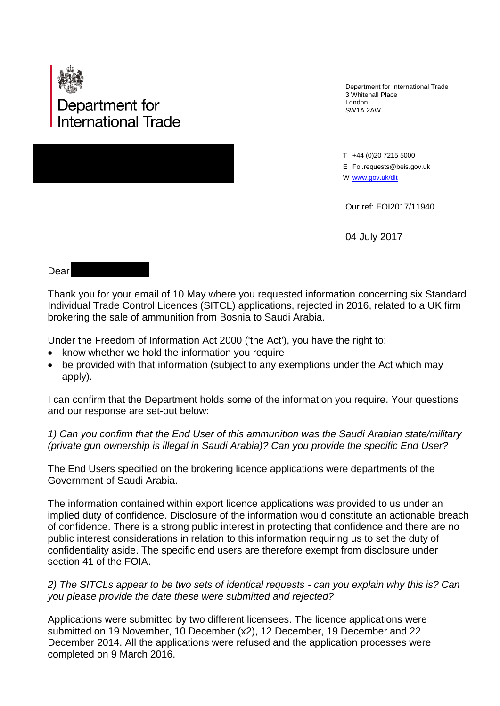

Department for International Trade 3 Whitehall Place London SW1A 2AW

T +44 (0)20 7215 5000 E Foi.requests@beis.gov.uk W [www.gov.uk/](http://www.gov.uk/)dit

Our ref: FOI2017/11940

04 July 2017

## Dear

Thank you for your email of 10 May where you requested information concerning six Standard Individual Trade Control Licences (SITCL) applications, rejected in 2016, related to a UK firm brokering the sale of ammunition from Bosnia to Saudi Arabia.

Under the Freedom of Information Act 2000 ('the Act'), you have the right to:

- know whether we hold the information you require
- be provided with that information (subject to any exemptions under the Act which may apply).

I can confirm that the Department holds some of the information you require. Your questions and our response are set-out below:

## *1) Can you confirm that the End User of this ammunition was the Saudi Arabian state/military (private gun ownership is illegal in Saudi Arabia)? Can you provide the specific End User?*

The End Users specified on the brokering licence applications were departments of the Government of Saudi Arabia.

The information contained within export licence applications was provided to us under an implied duty of confidence. Disclosure of the information would constitute an actionable breach of confidence. There is a strong public interest in protecting that confidence and there are no public interest considerations in relation to this information requiring us to set the duty of confidentiality aside. The specific end users are therefore exempt from disclosure under section 41 of the FOIA.

*2) The SITCLs appear to be two sets of identical requests - can you explain why this is? Can you please provide the date these were submitted and rejected?*

Applications were submitted by two different licensees. The licence applications were submitted on 19 November, 10 December (x2), 12 December, 19 December and 22 December 2014. All the applications were refused and the application processes were completed on 9 March 2016.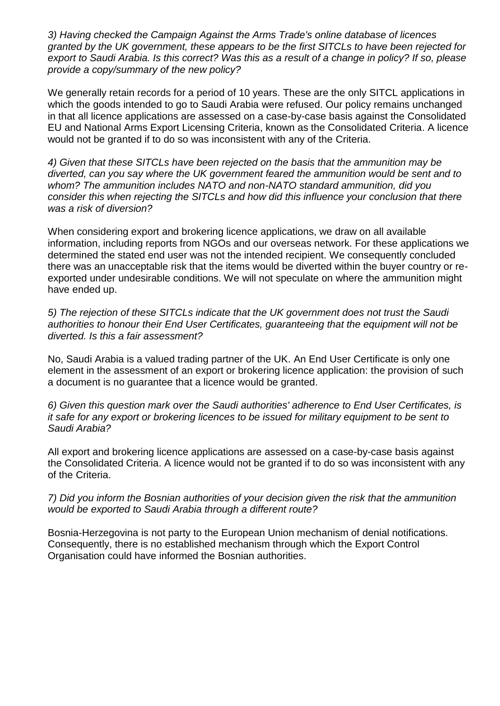*3) Having checked the Campaign Against the Arms Trade's online database of licences granted by the UK government, these appears to be the first SITCLs to have been rejected for export to Saudi Arabia. Is this correct? Was this as a result of a change in policy? If so, please provide a copy/summary of the new policy?*

We generally retain records for a period of 10 years. These are the only SITCL applications in which the goods intended to go to Saudi Arabia were refused. Our policy remains unchanged in that all licence applications are assessed on a case-by-case basis against the Consolidated EU and National Arms Export Licensing Criteria, known as the Consolidated Criteria. A licence would not be granted if to do so was inconsistent with any of the Criteria.

*4) Given that these SITCLs have been rejected on the basis that the ammunition may be diverted, can you say where the UK government feared the ammunition would be sent and to whom? The ammunition includes NATO and non-NATO standard ammunition, did you consider this when rejecting the SITCLs and how did this influence your conclusion that there was a risk of diversion?*

When considering export and brokering licence applications, we draw on all available information, including reports from NGOs and our overseas network. For these applications we determined the stated end user was not the intended recipient. We consequently concluded there was an unacceptable risk that the items would be diverted within the buyer country or reexported under undesirable conditions. We will not speculate on where the ammunition might have ended up.

*5) The rejection of these SITCLs indicate that the UK government does not trust the Saudi authorities to honour their End User Certificates, guaranteeing that the equipment will not be diverted. Is this a fair assessment?*

No, Saudi Arabia is a valued trading partner of the UK. An End User Certificate is only one element in the assessment of an export or brokering licence application: the provision of such a document is no guarantee that a licence would be granted.

*6) Given this question mark over the Saudi authorities' adherence to End User Certificates, is it safe for any export or brokering licences to be issued for military equipment to be sent to Saudi Arabia?* 

All export and brokering licence applications are assessed on a case-by-case basis against the Consolidated Criteria. A licence would not be granted if to do so was inconsistent with any of the Criteria.

## *7) Did you inform the Bosnian authorities of your decision given the risk that the ammunition would be exported to Saudi Arabia through a different route?*

Bosnia-Herzegovina is not party to the European Union mechanism of denial notifications. Consequently, there is no established mechanism through which the Export Control Organisation could have informed the Bosnian authorities.